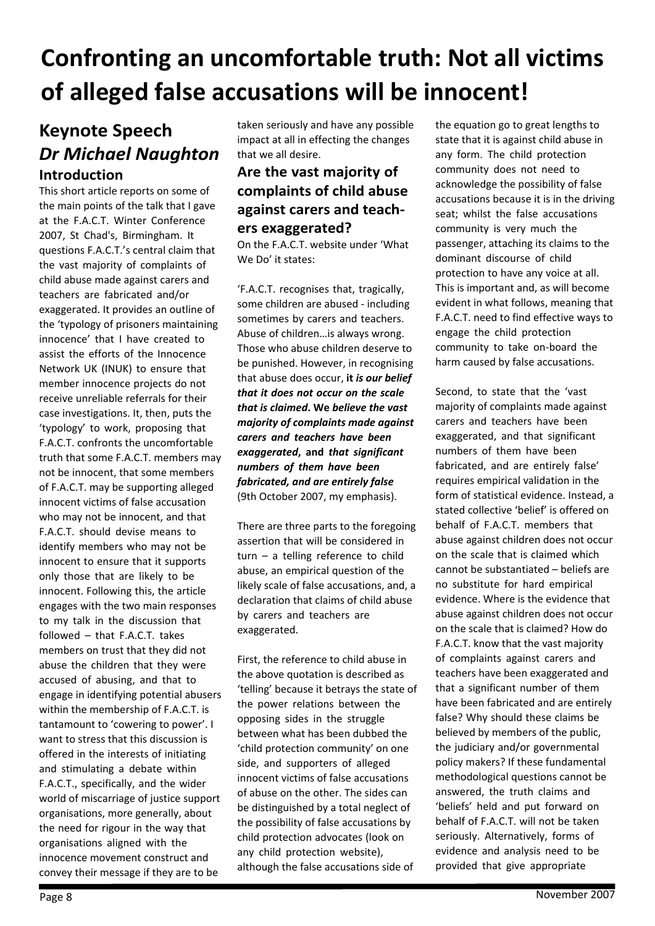# **Confronting an uncomfortable truth: Not all victims of alleged false accusations will be innocent!**

## **Keynote Speech** *Dr Michael Naughton* **Introduction**

This short article reports on some of the main points of the talk that I gave at the F.A.C.T. Winter Conference 2007, St Chad's, Birmingham. It questions F.A.C.T.'s central claim that the vast majority of complaints of child abuse made against carers and teachers are fabricated and/or exaggerated. It provides an outline of the 'typology of prisoners maintaining innocence' that I have created to assist the efforts of the Innocence Network UK (INUK) to ensure that member innocence projects do not receive unreliable referrals for their case investigations. It, then, puts the 'typology' to work, proposing that F.A.C.T. confronts the uncomfortable truth that some F.A.C.T. members may not be innocent, that some members of F.A.C.T. may be supporting alleged innocent victims of false accusation who may not be innocent, and that F.A.C.T. should devise means to identify members who may not be innocent to ensure that it supports only those that are likely to be innocent. Following this, the article engages with the two main responses to my talk in the discussion that followed – that F.A.C.T. takes members on trust that they did not abuse the children that they were accused of abusing, and that to engage in identifying potential abusers within the membership of F.A.C.T. is tantamount to 'cowering to power'. I want to stress that this discussion is offered in the interests of initiating and stimulating a debate within F.A.C.T., specifically, and the wider world of miscarriage of justice support organisations, more generally, about the need for rigour in the way that organisations aligned with the innocence movement construct and convey their message if they are to be

taken seriously and have any possible impact at all in effecting the changes that we all desire.

#### **Are the vast majority of complaints of child abuse against carers and teachers exaggerated?**

On the F.A.C.T. website under 'What We Do' it states:

'F.A.C.T. recognises that, tragically, some children are abused - including sometimes by carers and teachers. Abuse of children…is always wrong. Those who abuse children deserve to be punished. However, in recognising that abuse does occur, **it** *is our belief that it does not occur on the scale that is claimed***. We** *believe the vast majority of complaints made against carers and teachers have been exaggerated***, and** *that significant numbers of them have been fabricated, and are entirely false* (9th October 2007, my emphasis).

There are three parts to the foregoing assertion that will be considered in turn – a telling reference to child abuse, an empirical question of the likely scale of false accusations, and, a declaration that claims of child abuse by carers and teachers are exaggerated.

First, the reference to child abuse in the above quotation is described as 'telling' because it betrays the state of the power relations between the opposing sides in the struggle between what has been dubbed the 'child protection community' on one side, and supporters of alleged innocent victims of false accusations of abuse on the other. The sides can be distinguished by a total neglect of the possibility of false accusations by child protection advocates (look on any child protection website), although the false accusations side of

the equation go to great lengths to state that it is against child abuse in any form. The child protection community does not need to acknowledge the possibility of false accusations because it is in the driving seat; whilst the false accusations community is very much the passenger, attaching its claims to the dominant discourse of child protection to have any voice at all. This is important and, as will become evident in what follows, meaning that F.A.C.T. need to find effective ways to engage the child protection community to take on-board the harm caused by false accusations.

Second, to state that the 'vast majority of complaints made against carers and teachers have been exaggerated, and that significant numbers of them have been fabricated, and are entirely false' requires empirical validation in the form of statistical evidence. Instead, a stated collective 'belief' is offered on behalf of F.A.C.T. members that abuse against children does not occur on the scale that is claimed which cannot be substantiated – beliefs are no substitute for hard empirical evidence. Where is the evidence that abuse against children does not occur on the scale that is claimed? How do F.A.C.T. know that the vast majority of complaints against carers and teachers have been exaggerated and that a significant number of them have been fabricated and are entirely false? Why should these claims be believed by members of the public, the judiciary and/or governmental policy makers? If these fundamental methodological questions cannot be answered, the truth claims and 'beliefs' held and put forward on behalf of F.A.C.T. will not be taken seriously. Alternatively, forms of evidence and analysis need to be provided that give appropriate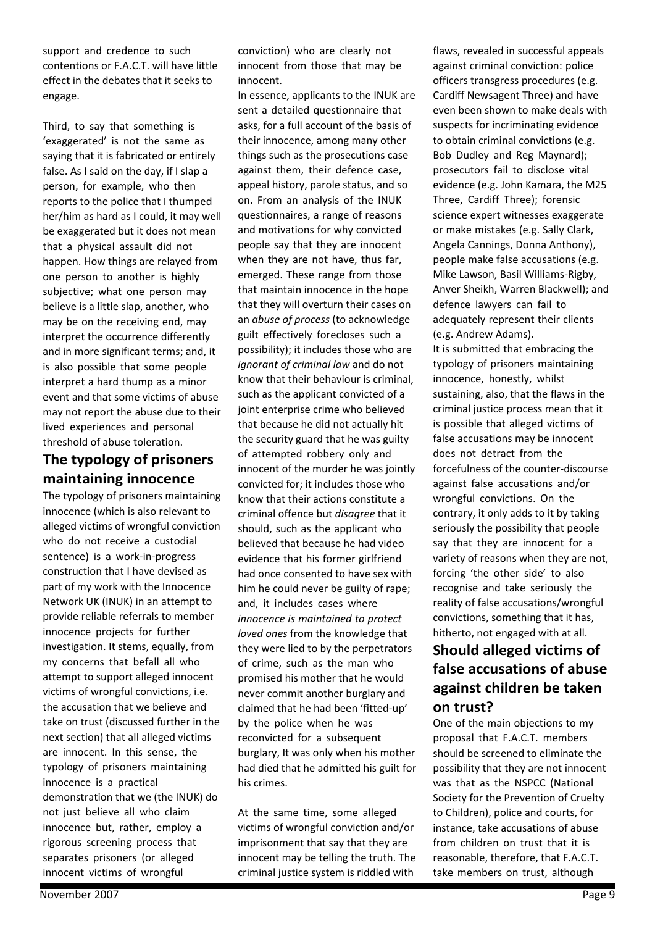support and credence to such contentions or F.A.C.T. will have little effect in the debates that it seeks to engage.

Third, to say that something is 'exaggerated' is not the same as saying that it is fabricated or entirely false. As I said on the day, if I slap a person, for example, who then reports to the police that I thumped her/him as hard as I could, it may well be exaggerated but it does not mean that a physical assault did not happen. How things are relayed from one person to another is highly subjective; what one person may believe is a little slap, another, who may be on the receiving end, may interpret the occurrence differently and in more significant terms; and, it is also possible that some people interpret a hard thump as a minor event and that some victims of abuse may not report the abuse due to their lived experiences and personal threshold of abuse toleration.

## **The typology of prisoners maintaining innocence**

The typology of prisoners maintaining innocence (which is also relevant to alleged victims of wrongful conviction who do not receive a custodial sentence) is a work-in-progress construction that I have devised as part of my work with the Innocence Network UK (INUK) in an attempt to provide reliable referrals to member innocence projects for further investigation. It stems, equally, from my concerns that befall all who attempt to support alleged innocent victims of wrongful convictions, i.e. the accusation that we believe and take on trust (discussed further in the next section) that all alleged victims are innocent. In this sense, the typology of prisoners maintaining innocence is a practical demonstration that we (the INUK) do not just believe all who claim innocence but, rather, employ a rigorous screening process that separates prisoners (or alleged innocent victims of wrongful

conviction) who are clearly not innocent from those that may be innocent.

In essence, applicants to the INUK are sent a detailed questionnaire that asks, for a full account of the basis of their innocence, among many other things such as the prosecutions case against them, their defence case, appeal history, parole status, and so on. From an analysis of the INUK questionnaires, a range of reasons and motivations for why convicted people say that they are innocent when they are not have, thus far, emerged. These range from those that maintain innocence in the hope that they will overturn their cases on an *abuse of process* (to acknowledge guilt effectively forecloses such a possibility); it includes those who are *ignorant of criminal law* and do not know that their behaviour is criminal, such as the applicant convicted of a joint enterprise crime who believed that because he did not actually hit the security guard that he was guilty of attempted robbery only and innocent of the murder he was jointly convicted for; it includes those who know that their actions constitute a criminal offence but *disagree* that it should, such as the applicant who believed that because he had video evidence that his former girlfriend had once consented to have sex with him he could never be guilty of rape; and, it includes cases where *innocence is maintained to protect loved ones* from the knowledge that they were lied to by the perpetrators of crime, such as the man who promised his mother that he would never commit another burglary and claimed that he had been 'fitted-up' by the police when he was reconvicted for a subsequent burglary, It was only when his mother had died that he admitted his guilt for his crimes.

At the same time, some alleged victims of wrongful conviction and/or imprisonment that say that they are innocent may be telling the truth. The criminal justice system is riddled with

flaws, revealed in successful appeals against criminal conviction: police officers transgress procedures (e.g. Cardiff Newsagent Three) and have even been shown to make deals with suspects for incriminating evidence to obtain criminal convictions (e.g. Bob Dudley and Reg Maynard); prosecutors fail to disclose vital evidence (e.g. John Kamara, the M25 Three, Cardiff Three); forensic science expert witnesses exaggerate or make mistakes (e.g. Sally Clark, Angela Cannings, Donna Anthony), people make false accusations (e.g. Mike Lawson, Basil Williams-Rigby, Anver Sheikh, Warren Blackwell); and defence lawyers can fail to adequately represent their clients (e.g. Andrew Adams). It is submitted that embracing the typology of prisoners maintaining innocence, honestly, whilst sustaining, also, that the flaws in the criminal justice process mean that it is possible that alleged victims of false accusations may be innocent does not detract from the forcefulness of the counter-discourse against false accusations and/or wrongful convictions. On the contrary, it only adds to it by taking seriously the possibility that people say that they are innocent for a variety of reasons when they are not, forcing 'the other side' to also recognise and take seriously the reality of false accusations/wrongful convictions, something that it has, hitherto, not engaged with at all.

## **Should alleged victims of false accusations of abuse against children be taken on trust?**

One of the main objections to my proposal that F.A.C.T. members should be screened to eliminate the possibility that they are not innocent was that as the NSPCC (National Society for the Prevention of Cruelty to Children), police and courts, for instance, take accusations of abuse from children on trust that it is reasonable, therefore, that F.A.C.T. take members on trust, although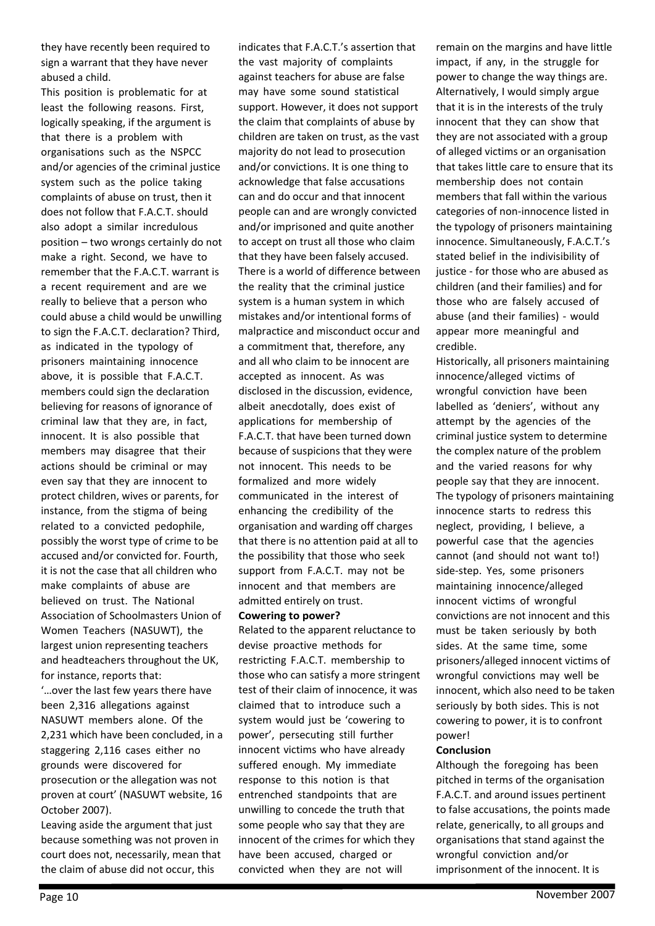they have recently been required to sign a warrant that they have never abused a child.

This position is problematic for at least the following reasons. First, logically speaking, if the argument is that there is a problem with organisations such as the NSPCC and/or agencies of the criminal justice system such as the police taking complaints of abuse on trust, then it does not follow that F.A.C.T. should also adopt a similar incredulous position – two wrongs certainly do not make a right. Second, we have to remember that the F.A.C.T. warrant is a recent requirement and are we really to believe that a person who could abuse a child would be unwilling to sign the F.A.C.T. declaration? Third, as indicated in the typology of prisoners maintaining innocence above, it is possible that F.A.C.T. members could sign the declaration believing for reasons of ignorance of criminal law that they are, in fact, innocent. It is also possible that members may disagree that their actions should be criminal or may even say that they are innocent to protect children, wives or parents, for instance, from the stigma of being related to a convicted pedophile, possibly the worst type of crime to be accused and/or convicted for. Fourth, it is not the case that all children who make complaints of abuse are believed on trust. The National Association of Schoolmasters Union of Women Teachers (NASUWT), the largest union representing teachers and headteachers throughout the UK, for instance, reports that:

'…over the last few years there have been 2,316 allegations against NASUWT members alone. Of the 2,231 which have been concluded, in a staggering 2,116 cases either no grounds were discovered for prosecution or the allegation was not proven at court' (NASUWT website, 16 October 2007).

Leaving aside the argument that just because something was not proven in court does not, necessarily, mean that the claim of abuse did not occur, this

indicates that F.A.C.T.'s assertion that the vast majority of complaints against teachers for abuse are false may have some sound statistical support. However, it does not support the claim that complaints of abuse by children are taken on trust, as the vast majority do not lead to prosecution and/or convictions. It is one thing to acknowledge that false accusations can and do occur and that innocent people can and are wrongly convicted and/or imprisoned and quite another to accept on trust all those who claim that they have been falsely accused. There is a world of difference between the reality that the criminal justice system is a human system in which mistakes and/or intentional forms of malpractice and misconduct occur and a commitment that, therefore, any and all who claim to be innocent are accepted as innocent. As was disclosed in the discussion, evidence, albeit anecdotally, does exist of applications for membership of F.A.C.T. that have been turned down because of suspicions that they were not innocent. This needs to be formalized and more widely communicated in the interest of enhancing the credibility of the organisation and warding off charges that there is no attention paid at all to the possibility that those who seek support from F.A.C.T. may not be innocent and that members are admitted entirely on trust.

#### **Cowering to power?**

Related to the apparent reluctance to devise proactive methods for restricting F.A.C.T. membership to those who can satisfy a more stringent test of their claim of innocence, it was claimed that to introduce such a system would just be 'cowering to power', persecuting still further innocent victims who have already suffered enough. My immediate response to this notion is that entrenched standpoints that are unwilling to concede the truth that some people who say that they are innocent of the crimes for which they have been accused, charged or convicted when they are not will

remain on the margins and have little impact, if any, in the struggle for power to change the way things are. Alternatively, I would simply argue that it is in the interests of the truly innocent that they can show that they are not associated with a group of alleged victims or an organisation that takes little care to ensure that its membership does not contain members that fall within the various categories of non-innocence listed in the typology of prisoners maintaining innocence. Simultaneously, F.A.C.T.'s stated belief in the indivisibility of justice - for those who are abused as children (and their families) and for those who are falsely accused of abuse (and their families) - would appear more meaningful and credible.

Historically, all prisoners maintaining innocence/alleged victims of wrongful conviction have been labelled as 'deniers', without any attempt by the agencies of the criminal justice system to determine the complex nature of the problem and the varied reasons for why people say that they are innocent. The typology of prisoners maintaining innocence starts to redress this neglect, providing, I believe, a powerful case that the agencies cannot (and should not want to!) side-step. Yes, some prisoners maintaining innocence/alleged innocent victims of wrongful convictions are not innocent and this must be taken seriously by both sides. At the same time, some prisoners/alleged innocent victims of wrongful convictions may well be innocent, which also need to be taken seriously by both sides. This is not cowering to power, it is to confront power!

#### **Conclusion**

Although the foregoing has been pitched in terms of the organisation F.A.C.T. and around issues pertinent to false accusations, the points made relate, generically, to all groups and organisations that stand against the wrongful conviction and/or imprisonment of the innocent. It is